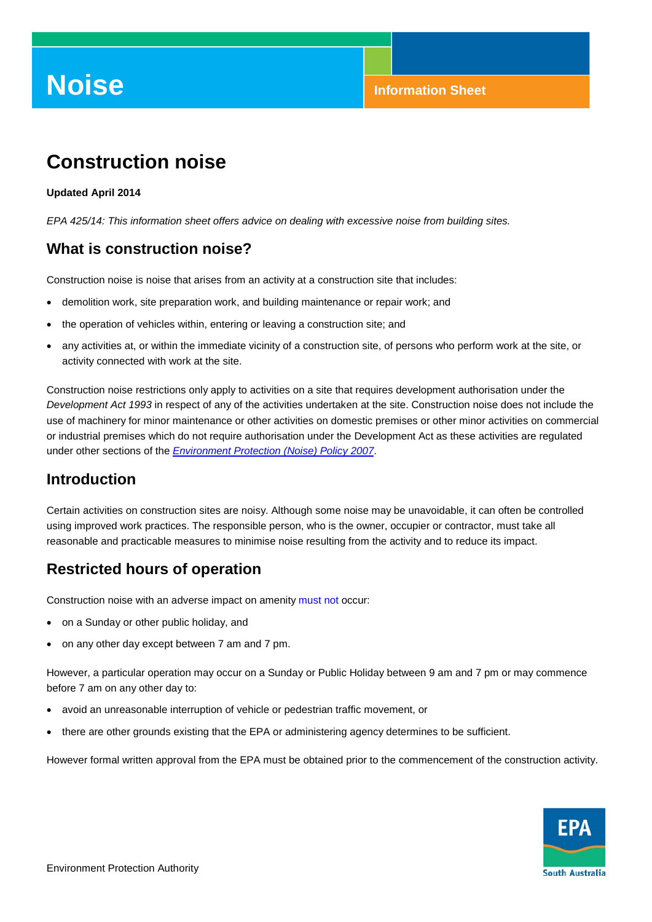# **Noise Information Sheet**

# **Construction noise**

#### **Updated April 2014**

*EPA 425/14: This information sheet offers advice on dealing with excessive noise from building sites.*

#### **What is construction noise?**

Construction noise is noise that arises from an activity at a construction site that includes:

- demolition work, site preparation work, and building maintenance or repair work; and
- the operation of vehicles within, entering or leaving a construction site; and
- any activities at, or within the immediate vicinity of a construction site, of persons who perform work at the site, or activity connected with work at the site.

Construction noise restrictions only apply to activities on a site that requires development authorisation under the *Development Act 1993* in respect of any of the activities undertaken at the site. Construction noise does not include the use of machinery for minor maintenance or other activities on domestic premises or other minor activities on commercial or industrial premises which do not require authorisation under the Development Act as these activities are regulated under other sections of the *[Environment Protection \(Noise\) Policy 2007](http://www.epa.sa.gov.au/environmental_info/noise/environment_protection_noise_policy)*.

#### **Introduction**

Certain activities on construction sites are noisy. Although some noise may be unavoidable, it can often be controlled using improved work practices. The responsible person, who is the owner, occupier or contractor, must take all reasonable and practicable measures to minimise noise resulting from the activity and to reduce its impact.

### **Restricted hours of operation**

Construction noise with an adverse impact on amenity must not occur:

- on a Sunday or other public holiday, and
- on any other day except between 7 am and 7 pm.

However, a particular operation may occur on a Sunday or Public Holiday between 9 am and 7 pm or may commence before 7 am on any other day to:

- avoid an unreasonable interruption of vehicle or pedestrian traffic movement, or
- there are other grounds existing that the EPA or administering agency determines to be sufficient.

However formal written approval from the EPA must be obtained prior to the commencement of the construction activity.

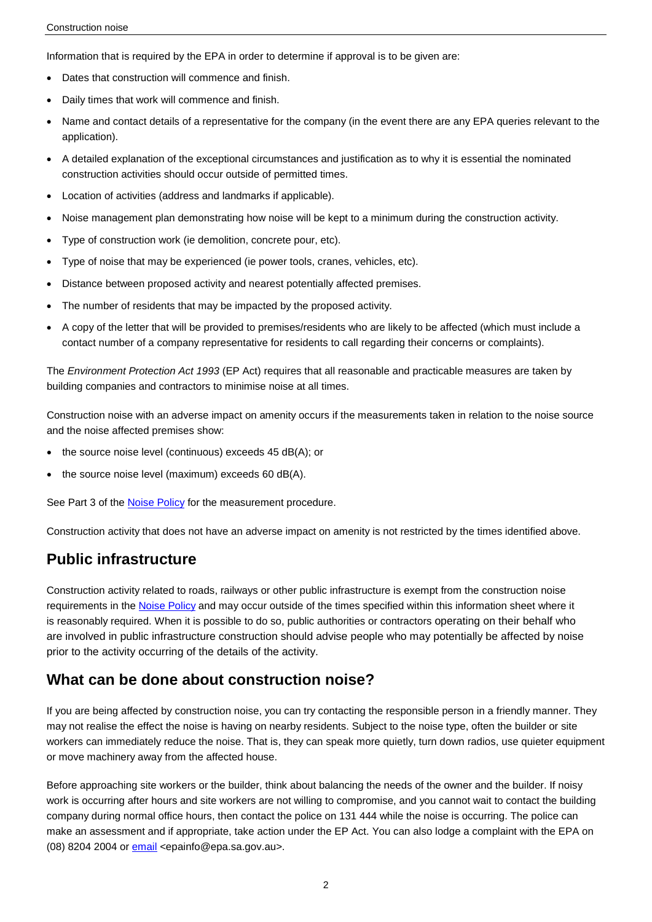Information that is required by the EPA in order to determine if approval is to be given are:

- Dates that construction will commence and finish.
- Daily times that work will commence and finish.
- Name and contact details of a representative for the company (in the event there are any EPA queries relevant to the application).
- A detailed explanation of the exceptional circumstances and justification as to why it is essential the nominated construction activities should occur outside of permitted times.
- Location of activities (address and landmarks if applicable).
- Noise management plan demonstrating how noise will be kept to a minimum during the construction activity.
- Type of construction work (ie demolition, concrete pour, etc).
- Type of noise that may be experienced (ie power tools, cranes, vehicles, etc).
- Distance between proposed activity and nearest potentially affected premises.
- The number of residents that may be impacted by the proposed activity.
- A copy of the letter that will be provided to premises/residents who are likely to be affected (which must include a contact number of a company representative for residents to call regarding their concerns or complaints).

The *Environment Protection Act 1993* (EP Act) requires that all reasonable and practicable measures are taken by building companies and contractors to minimise noise at all times.

Construction noise with an adverse impact on amenity occurs if the measurements taken in relation to the noise source and the noise affected premises show:

- the source noise level (continuous) exceeds 45 dB(A); or
- the source noise level (maximum) exceeds 60 dB(A).

See Part 3 of the **Noise Policy** for the measurement procedure.

Construction activity that does not have an adverse impact on amenity is not restricted by the times identified above.

# **Public infrastructure**

Construction activity related to roads, railways or other public infrastructure is exempt from the construction noise requirements in th[e Noise Policy](http://www.epa.sa.gov.au/environmental_info/noise/environment_protection_noise_policy) and may occur outside of the times specified within this information sheet where it is reasonably required. When it is possible to do so, public authorities or contractors operating on their behalf who are involved in public infrastructure construction should advise people who may potentially be affected by noise prior to the activity occurring of the details of the activity.

#### **What can be done about construction noise?**

If you are being affected by construction noise, you can try contacting the responsible person in a friendly manner. They may not realise the effect the noise is having on nearby residents. Subject to the noise type, often the builder or site workers can immediately reduce the noise. That is, they can speak more quietly, turn down radios, use quieter equipment or move machinery away from the affected house.

Before approaching site workers or the builder, think about balancing the needs of the owner and the builder. If noisy work is occurring after hours and site workers are not willing to compromise, and you cannot wait to contact the building company during normal office hours, then contact the police on 131 444 while the noise is occurring. The police can make an assessment and if appropriate, take action under the EP Act. You can also lodge a complaint with the EPA on (08) 8204 2004 o[r email](mailto:epainfo@epa.sa.gov.au?subject=Construction%20noise) <epainfo@epa.sa.gov.au>.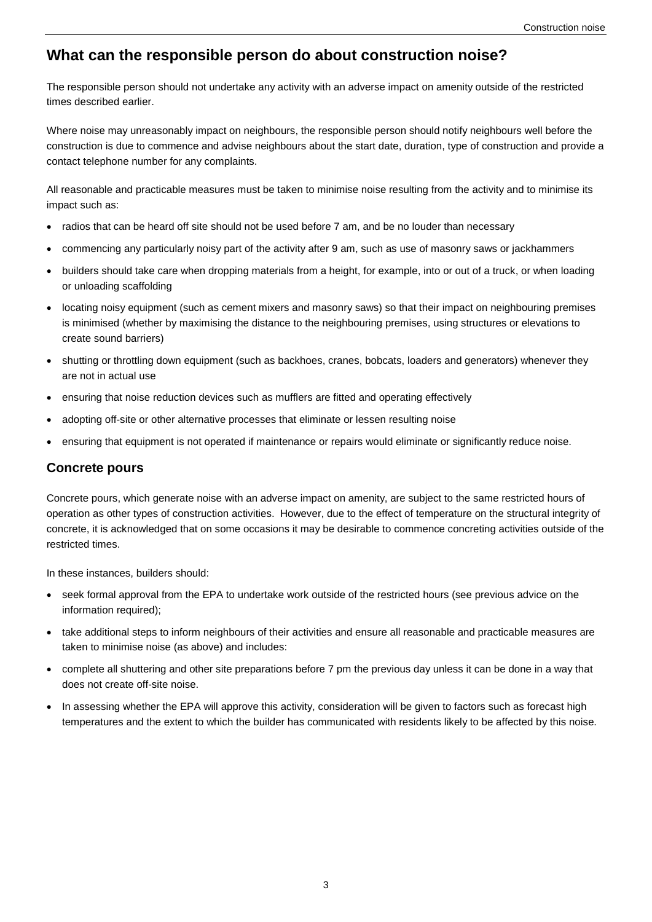## **What can the responsible person do about construction noise?**

The responsible person should not undertake any activity with an adverse impact on amenity outside of the restricted times described earlier.

Where noise may unreasonably impact on neighbours, the responsible person should notify neighbours well before the construction is due to commence and advise neighbours about the start date, duration, type of construction and provide a contact telephone number for any complaints.

All reasonable and practicable measures must be taken to minimise noise resulting from the activity and to minimise its impact such as:

- radios that can be heard off site should not be used before 7 am, and be no louder than necessary
- commencing any particularly noisy part of the activity after 9 am, such as use of masonry saws or jackhammers
- builders should take care when dropping materials from a height, for example, into or out of a truck, or when loading or unloading scaffolding
- locating noisy equipment (such as cement mixers and masonry saws) so that their impact on neighbouring premises is minimised (whether by maximising the distance to the neighbouring premises, using structures or elevations to create sound barriers)
- shutting or throttling down equipment (such as backhoes, cranes, bobcats, loaders and generators) whenever they are not in actual use
- ensuring that noise reduction devices such as mufflers are fitted and operating effectively
- adopting off-site or other alternative processes that eliminate or lessen resulting noise
- ensuring that equipment is not operated if maintenance or repairs would eliminate or significantly reduce noise.

#### **Concrete pours**

Concrete pours, which generate noise with an adverse impact on amenity, are subject to the same restricted hours of operation as other types of construction activities. However, due to the effect of temperature on the structural integrity of concrete, it is acknowledged that on some occasions it may be desirable to commence concreting activities outside of the restricted times.

In these instances, builders should:

- seek formal approval from the EPA to undertake work outside of the restricted hours (see previous advice on the information required);
- take additional steps to inform neighbours of their activities and ensure all reasonable and practicable measures are taken to minimise noise (as above) and includes:
- complete all shuttering and other site preparations before 7 pm the previous day unless it can be done in a way that does not create off-site noise.
- In assessing whether the EPA will approve this activity, consideration will be given to factors such as forecast high temperatures and the extent to which the builder has communicated with residents likely to be affected by this noise.